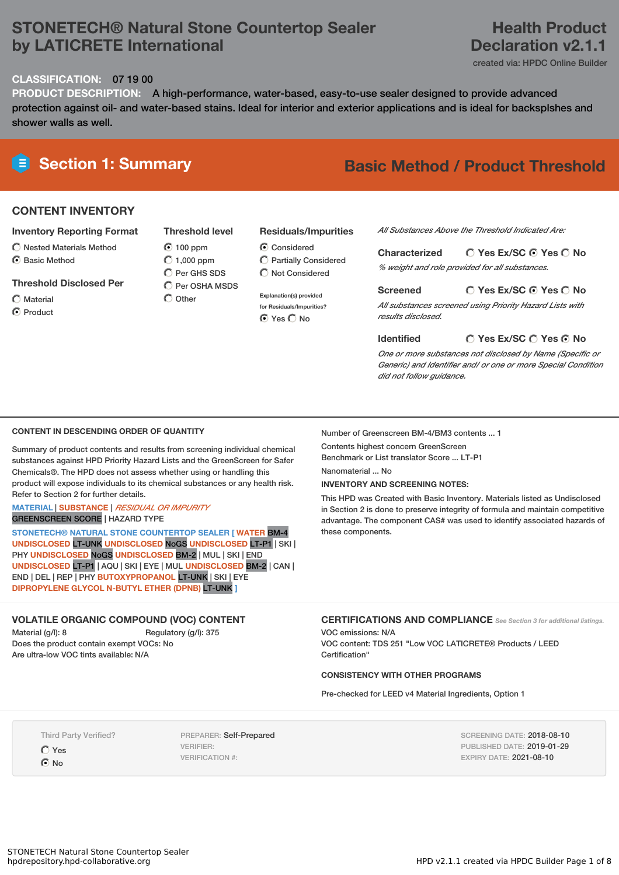# **STONETECH® Natural Stone Countertop Sealer by LATICRETE International**

# **Health Product Declaration v2.1.1**

created via: HPDC Online Builder

### **CLASSIFICATION:** 07 19 00

**PRODUCT DESCRIPTION:** A high-performance, water-based, easy-to-use sealer designed to provide advanced protection against oil- and water-based stains. Ideal for interior and exterior applications and is ideal for backsplshes and shower walls as well.

# **Section 1: Summary Basic Method / Product Threshold**

## **CONTENT INVENTORY**

### **Inventory Reporting Format**

- $\bigcirc$  Nested Materials Method
- C Rasic Method

### **Threshold Disclosed Per**

Material

**O** Product

 $\odot$  100 ppm  $\bigcirc$  1,000 ppm C Per GHS SDS  $\overline{C}$  Per OSHA MSDS  $\bigcap$  Other

- **Residuals/Impurities**
- C Considered Partially Considered  $\bigcap$  Not Considered

**Explanation(s) provided for Residuals/Impurities? O** Yes O No

*All Substances Above the Threshold Indicated Are:*

### **Yes Ex/SC Yes No Characterized**

*% weight and role provided for all substances.*

### **Yes Ex/SC Yes No Screened**

*All substances screened using Priority Hazard Lists with results disclosed.*

### **Identified**

*One or more substances not disclosed by Name (Specific or Generic) and Identifier and/ or one or more Special Condition did not follow guidance.*

**Yes Ex/SC Yes No**

### **CONTENT IN DESCENDING ORDER OF QUANTITY**

Summary of product contents and results from screening individual chemical substances against HPD Priority Hazard Lists and the GreenScreen for Safer Chemicals®. The HPD does not assess whether using or handling this product will expose individuals to its chemical substances or any health risk. Refer to Section 2 for further details.

### **MATERIAL** | **SUBSTANCE** | *RESIDUAL OR IMPURITY* GREENSCREEN SCORE | HAZARD TYPE

**STONETECH® NATURAL STONE COUNTERTOP SEALER [ WATER** BM-4 **UNDISCLOSED** LT-UNK **UNDISCLOSED** NoGS **UNDISCLOSED** LT-P1 | SKI | PHY **UNDISCLOSED** NoGS **UNDISCLOSED** BM-2 | MUL | SKI | END **UNDISCLOSED** LT-P1 | AQU | SKI | EYE | MUL **UNDISCLOSED** BM-2 | CAN | END | DEL | REP | PHY **BUTOXYPROPANOL** LT-UNK | SKI | EYE **DIPROPYLENE GLYCOL N-BUTYL ETHER (DPNB)** LT-UNK **]**

### **VOLATILE ORGANIC COMPOUND (VOC) CONTENT**

Material (g/l): 8 Regulatory (g/l): 375 Does the product contain exempt VOCs: No Are ultra-low VOC tints available: N/A

Number of Greenscreen BM-4/BM3 contents ... 1

Contents highest concern GreenScreen Benchmark or List translator Score ... LT-P1 Nanomaterial No.

## **INVENTORY AND SCREENING NOTES:**

This HPD was Created with Basic Inventory. Materials listed as Undisclosed in Section 2 is done to preserve integrity of formula and maintain competitive advantage. The component CAS# was used to identify associated hazards of these components.

## **CERTIFICATIONS AND COMPLIANCE** *See Section <sup>3</sup> for additional listings.*

VOC emissions: N/A VOC content: TDS 251 "Low VOC LATICRETE® Products / LEED Certification"

### **CONSISTENCY WITH OTHER PROGRAMS**

Pre-checked for LEED v4 Material Ingredients, Option 1

Third Party Verified?

Yes

 $\odot$  No

PREPARER: Self-Prepared VERIFIER: VERIFICATION #:

SCREENING DATE: 2018-08-10 PUBLISHED DATE: 2019-01-29 EXPIRY DATE: 2021-08-10

**Threshold level**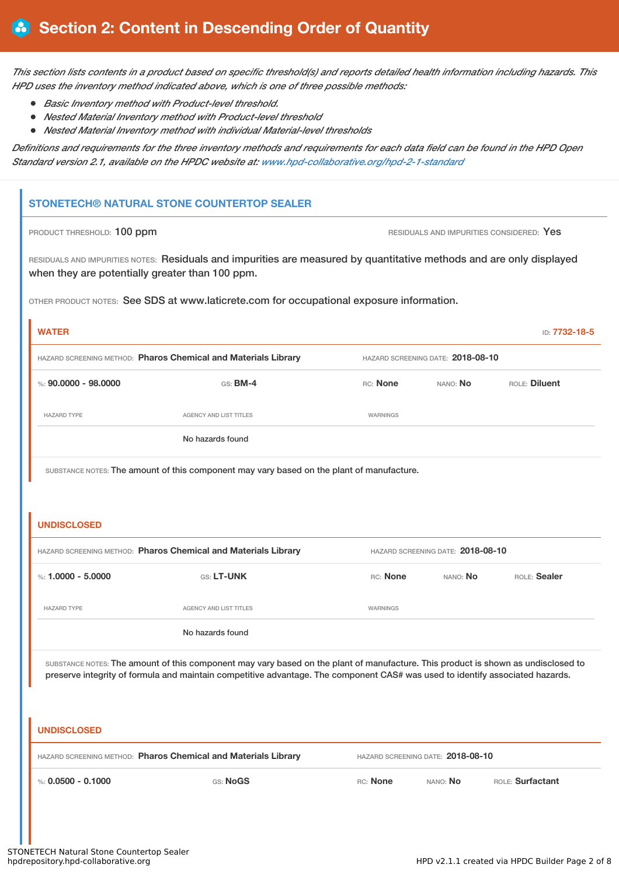This section lists contents in a product based on specific threshold(s) and reports detailed health information including hazards. This *HPD uses the inventory method indicated above, which is one of three possible methods:*

- *Basic Inventory method with Product-level threshold.*
- *Nested Material Inventory method with Product-level threshold*
- *Nested Material Inventory method with individual Material-level thresholds*

Definitions and requirements for the three inventory methods and requirements for each data field can be found in the HPD Open *Standard version 2.1, available on the HPDC website at: [www.hpd-collaborative.org/hpd-2-1-standard](http://www.hpd-collaborative.org/hpd-2-1-standard)*

## **STONETECH® NATURAL STONE COUNTERTOP SEALER**

**PRODUCT THRESHOLD: 100 ppm RESIDUALS AND IMPURITIES CONSIDERED: Yes** 

RESIDUALS AND IMPURITIES NOTES: Residuals and impurities are measured by quantitative methods and are only displayed when they are potentially greater than 100 ppm.

OTHER PRODUCT NOTES: See SDS at www.laticrete.com for occupational exposure information.

| <b>WATER</b>                                                   |                               |                                   |                 | ID: 7732-18-5 |
|----------------------------------------------------------------|-------------------------------|-----------------------------------|-----------------|---------------|
| HAZARD SCREENING METHOD: Pharos Chemical and Materials Library |                               | HAZARD SCREENING DATE: 2018-08-10 |                 |               |
| %: 90.0000 - 98.0000                                           | $GS:$ BM-4                    | RC: None                          | NANO: <b>No</b> | ROLE: Diluent |
| <b>HAZARD TYPE</b>                                             | <b>AGENCY AND LIST TITLES</b> | WARNINGS                          |                 |               |
|                                                                | No hazards found              |                                   |                 |               |

SUBSTANCE NOTES: The amount of this component may vary based on the plant of manufacture.

### **UNDISCLOSED**

| HAZARD SCREENING METHOD: Pharos Chemical and Materials Library |                        | HAZARD SCREENING DATE: 2018-08-10 |          |              |
|----------------------------------------------------------------|------------------------|-----------------------------------|----------|--------------|
| %: 1.0000 - 5.0000                                             | <b>GS: LT-UNK</b>      | RC: None                          | NANO: No | ROLE: Sealer |
| <b>HAZARD TYPE</b>                                             | AGENCY AND LIST TITLES | WARNINGS                          |          |              |
|                                                                | No hazards found       |                                   |          |              |

SUBSTANCE NOTES: The amount of this component may vary based on the plant of manufacture. This product is shown as undisclosed to preserve integrity of formula and maintain competitive advantage. The component CAS# was used to identify associated hazards.

| UNDISCLOSED                                                    |          |          |                                   |                  |  |
|----------------------------------------------------------------|----------|----------|-----------------------------------|------------------|--|
| HAZARD SCREENING METHOD: Pharos Chemical and Materials Library |          |          | HAZARD SCREENING DATE: 2018-08-10 |                  |  |
| %: $0.0500 - 0.1000$                                           | GS: NoGS | RC: None | NANO: No                          | ROLE: Surfactant |  |
|                                                                |          |          |                                   |                  |  |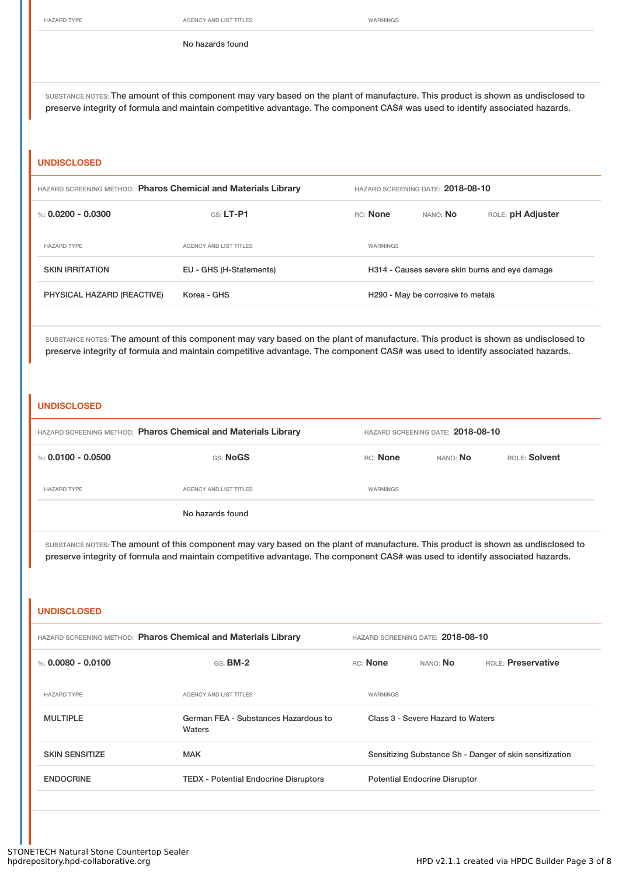HAZARD TYPE **AGENCY AND LIST TITLES WARNINGS** 

No hazards found

SUBSTANCE NOTES: The amount of this component may vary based on the plant of manufacture. This product is shown as undisclosed to preserve integrity of formula and maintain competitive advantage. The component CAS# was used to identify associated hazards.

### **UNDISCLOSED**

| HAZARD SCREENING METHOD: Pharos Chemical and Materials Library |                               | HAZARD SCREENING DATE: 2018-08-10 |                                   |                                                |  |
|----------------------------------------------------------------|-------------------------------|-----------------------------------|-----------------------------------|------------------------------------------------|--|
| %: 0.0200 - 0.0300                                             | $GS: LT-PI$                   | <b>RC:</b> None                   | NANO: NO                          | ROLE: pH Adjuster                              |  |
| <b>HAZARD TYPE</b>                                             | <b>AGENCY AND LIST TITLES</b> | WARNINGS                          |                                   |                                                |  |
| <b>SKIN IRRITATION</b>                                         | EU - GHS (H-Statements)       |                                   |                                   | H314 - Causes severe skin burns and eye damage |  |
| PHYSICAL HAZARD (REACTIVE)                                     | Korea - GHS                   |                                   | H290 - May be corrosive to metals |                                                |  |
|                                                                |                               |                                   |                                   |                                                |  |

SUBSTANCE NOTES: The amount of this component may vary based on the plant of manufacture. This product is shown as undisclosed to preserve integrity of formula and maintain competitive advantage. The component CAS# was used to identify associated hazards.

### **UNDISCLOSED**

| HAZARD SCREENING METHOD: Pharos Chemical and Materials Library |                        | HAZARD SCREENING DATE: 2018-08-10 |                 |               |
|----------------------------------------------------------------|------------------------|-----------------------------------|-----------------|---------------|
| %: 0.0100 - 0.0500                                             | GS: NoGS               | RC: None                          | NANO: <b>No</b> | ROLE: Solvent |
| <b>HAZARD TYPE</b>                                             | AGENCY AND LIST TITLES | WARNINGS                          |                 |               |
|                                                                | No hazards found       |                                   |                 |               |

SUBSTANCE NOTES: The amount of this component may vary based on the plant of manufacture. This product is shown as undisclosed to preserve integrity of formula and maintain competitive advantage. The component CAS# was used to identify associated hazards.

# **UNDISCLOSED** HAZARD SCREENING METHOD: **Pharos Chemical and Materials Library** HAZARD SCREENING DATE: **2018-08-10** %: **0.0080 - 0.0100** GS: **BM-2** RC: **None** NANO: **No** ROLE: **Preservative** HAZARD TYPE **AGENCY AND LIST TITLES** WARNINGS MULTIPLE German FEA - Substances Hazardous to Waters Class 3 - Severe Hazard to Waters SKIN SENSITIZE **SENSITIZE** MAK MAK Sensitizing Substance Sh - Danger of skin sensitization ENDOCRINE TEDX - Potential Endocrine Disruptors Potential Endocrine Disruptor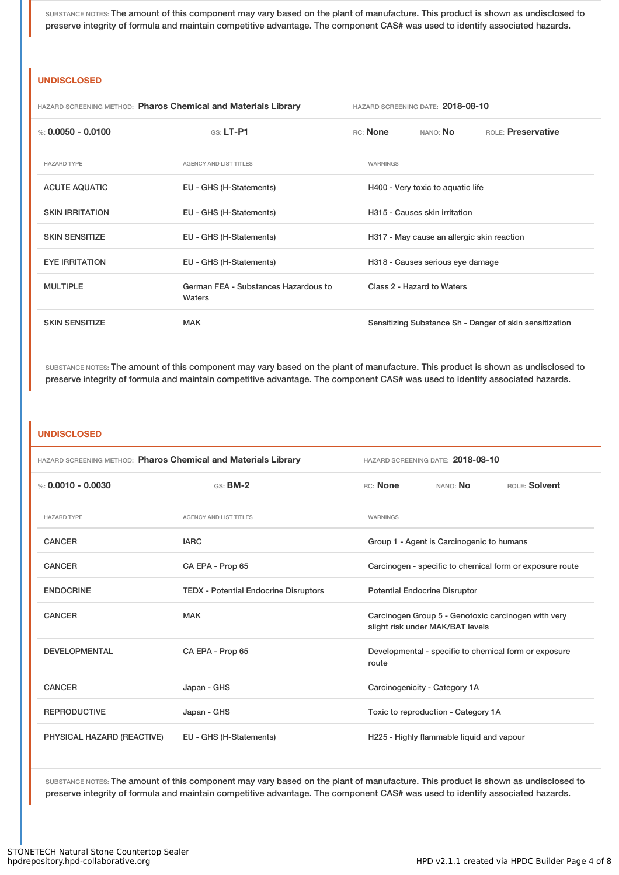SUBSTANCE NOTES: The amount of this component may vary based on the plant of manufacture. This product is shown as undisclosed to preserve integrity of formula and maintain competitive advantage. The component CAS# was used to identify associated hazards.

### **UNDISCLOSED**

| <b>HAZARD SCREENING METHOD: Pharos Chemical and Materials Library</b> |                                                | HAZARD SCREENING DATE: 2018-08-10 |          |                                            |                                                         |
|-----------------------------------------------------------------------|------------------------------------------------|-----------------------------------|----------|--------------------------------------------|---------------------------------------------------------|
| %: 0.0050 - 0.0100                                                    | $G.S.$ LT-P1                                   |                                   | RC: None | NANO: <b>No</b>                            | ROLE: Preservative                                      |
| <b>HAZARD TYPE</b>                                                    | <b>AGENCY AND LIST TITLES</b>                  |                                   | WARNINGS |                                            |                                                         |
| <b>ACUTE AQUATIC</b>                                                  | EU - GHS (H-Statements)                        |                                   |          | H400 - Very toxic to aquatic life          |                                                         |
| <b>SKIN IRRITATION</b>                                                | EU - GHS (H-Statements)                        |                                   |          | H315 - Causes skin irritation              |                                                         |
| <b>SKIN SENSITIZE</b>                                                 | EU - GHS (H-Statements)                        |                                   |          | H317 - May cause an allergic skin reaction |                                                         |
| <b>EYE IRRITATION</b>                                                 | EU - GHS (H-Statements)                        |                                   |          | H318 - Causes serious eye damage           |                                                         |
| <b>MULTIPLE</b>                                                       | German FEA - Substances Hazardous to<br>Waters |                                   |          | Class 2 - Hazard to Waters                 |                                                         |
| <b>SKIN SENSITIZE</b>                                                 | <b>MAK</b>                                     |                                   |          |                                            | Sensitizing Substance Sh - Danger of skin sensitization |

SUBSTANCE NOTES: The amount of this component may vary based on the plant of manufacture. This product is shown as undisclosed to preserve integrity of formula and maintain competitive advantage. The component CAS# was used to identify associated hazards.

### **UNDISCLOSED**

|                            | HAZARD SCREENING METHOD: Pharos Chemical and Materials Library | HAZARD SCREENING DATE: 2018-08-10                                                       |  |  |
|----------------------------|----------------------------------------------------------------|-----------------------------------------------------------------------------------------|--|--|
| %: $0.0010 - 0.0030$       | <b>GS: BM-2</b>                                                | RC: None<br>NANO: No<br>ROLE: Solvent                                                   |  |  |
| <b>HAZARD TYPE</b>         | <b>AGENCY AND LIST TITLES</b>                                  | WARNINGS                                                                                |  |  |
| <b>CANCER</b>              | <b>IARC</b>                                                    | Group 1 - Agent is Carcinogenic to humans                                               |  |  |
| <b>CANCER</b>              | CA EPA - Prop 65                                               | Carcinogen - specific to chemical form or exposure route                                |  |  |
| <b>ENDOCRINE</b>           | <b>TEDX - Potential Endocrine Disruptors</b>                   | <b>Potential Endocrine Disruptor</b>                                                    |  |  |
| <b>CANCER</b>              | <b>MAK</b>                                                     | Carcinogen Group 5 - Genotoxic carcinogen with very<br>slight risk under MAK/BAT levels |  |  |
| <b>DEVELOPMENTAL</b>       | CA EPA - Prop 65                                               | Developmental - specific to chemical form or exposure<br>route                          |  |  |
| <b>CANCER</b>              | Japan - GHS                                                    | Carcinogenicity - Category 1A                                                           |  |  |
| <b>REPRODUCTIVE</b>        | Japan - GHS                                                    | Toxic to reproduction - Category 1A                                                     |  |  |
| PHYSICAL HAZARD (REACTIVE) | EU - GHS (H-Statements)                                        | H225 - Highly flammable liquid and vapour                                               |  |  |

SUBSTANCE NOTES: The amount of this component may vary based on the plant of manufacture. This product is shown as undisclosed to preserve integrity of formula and maintain competitive advantage. The component CAS# was used to identify associated hazards.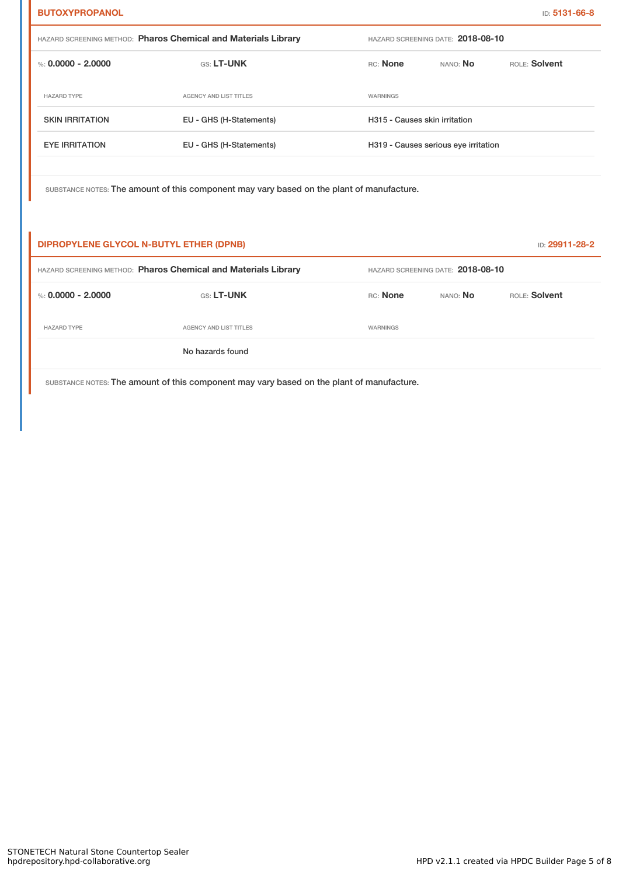| <b>BUTOXYPROPANOL</b>                                          |                                                                                           |                                      |                                   | ID: 5131-66-8  |
|----------------------------------------------------------------|-------------------------------------------------------------------------------------------|--------------------------------------|-----------------------------------|----------------|
| HAZARD SCREENING METHOD: Pharos Chemical and Materials Library |                                                                                           |                                      | HAZARD SCREENING DATE: 2018-08-10 |                |
| %: $0.0000 - 2.0000$                                           | GS: LT-UNK                                                                                | RC: None                             | NANO: No                          | ROLE: Solvent  |
| <b>HAZARD TYPE</b>                                             | AGENCY AND LIST TITLES                                                                    | <b>WARNINGS</b>                      |                                   |                |
| <b>SKIN IRRITATION</b>                                         | EU - GHS (H-Statements)                                                                   | H315 - Causes skin irritation        |                                   |                |
| <b>EYE IRRITATION</b>                                          | EU - GHS (H-Statements)                                                                   | H319 - Causes serious eye irritation |                                   |                |
|                                                                |                                                                                           |                                      |                                   |                |
|                                                                | SUBSTANCE NOTES: The amount of this component may vary based on the plant of manufacture. |                                      |                                   |                |
|                                                                |                                                                                           |                                      |                                   |                |
| DIPROPYLENE GLYCOL N-BUTYL ETHER (DPNB)                        |                                                                                           |                                      |                                   | ID: 29911-28-2 |

| HAZARD SCREENING METHOD: Pharos Chemical and Materials Library |                        | HAZARD SCREENING DATE: 2018-08-10 |          |               |
|----------------------------------------------------------------|------------------------|-----------------------------------|----------|---------------|
| %: 0.0000 - 2.0000                                             | <b>GS: LT-UNK</b>      | RC: None                          | NANO: No | ROLE: Solvent |
| <b>HAZARD TYPE</b>                                             | AGENCY AND LIST TITLES | WARNINGS                          |          |               |
|                                                                | No hazards found       |                                   |          |               |

SUBSTANCE NOTES: The amount of this component may vary based on the plant of manufacture.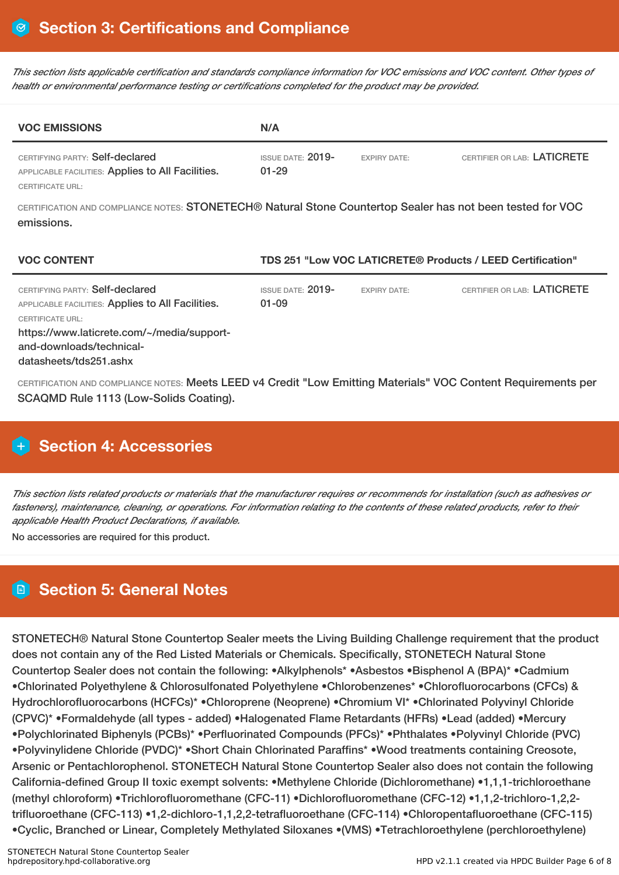This section lists applicable certification and standards compliance information for VOC emissions and VOC content. Other types of *health or environmental performance testing or certifications completed for the product may be provided.*

| <b>VOC EMISSIONS</b>                                                                                                                                                                      | N/A                                   |                     |                                                            |
|-------------------------------------------------------------------------------------------------------------------------------------------------------------------------------------------|---------------------------------------|---------------------|------------------------------------------------------------|
| CERTIFYING PARTY: Self-declared<br>APPLICABLE FACILITIES: Applies to All Facilities.<br><b>CERTIFICATE URL:</b>                                                                           | <b>ISSUE DATE: 2019-</b><br>$01 - 29$ | <b>EXPIRY DATE:</b> | CERTIFIER OR LAB: LATICRETE                                |
| CERTIFICATION AND COMPLIANCE NOTES: STONETECH® Natural Stone Countertop Sealer has not been tested for VOC<br>emissions.                                                                  |                                       |                     |                                                            |
| <b>VOC CONTENT</b>                                                                                                                                                                        |                                       |                     | TDS 251 "Low VOC LATICRETE® Products / LEED Certification" |
| CERTIFYING PARTY: Self-declared<br>APPLICABLE FACILITIES: Applies to All Facilities.<br><b>CERTIFICATE URL:</b><br>https://www.laticrete.com/~/media/support-<br>and-downloads/technical- | <b>ISSUE DATE: 2019-</b><br>$01 - 09$ | <b>EXPIRY DATE:</b> | CERTIFIER OR LAB: LATICRETE                                |

CERTIFICATION AND COMPLIANCE NOTES: Meets LEED v4 Credit "Low Emitting Materials" VOC Content Requirements per SCAQMD Rule 1113 (Low-Solids Coating).

# **H** Section 4: Accessories

This section lists related products or materials that the manufacturer requires or recommends for installation (such as adhesives or fasteners), maintenance, cleaning, or operations. For information relating to the contents of these related products, refer to their *applicable Health Product Declarations, if available.*

No accessories are required for this product.

# **Section 5: General Notes**

STONETECH® Natural Stone Countertop Sealer meets the Living Building Challenge requirement that the product does not contain any of the Red Listed Materials or Chemicals. Specifically, STONETECH Natural Stone Countertop Sealer does not contain the following: •Alkylphenols\* •Asbestos •Bisphenol A (BPA)\* •Cadmium •Chlorinated Polyethylene & Chlorosulfonated Polyethylene •Chlorobenzenes\* •Chlorofluorocarbons (CFCs) & Hydrochlorofluorocarbons (HCFCs)\* •Chloroprene (Neoprene) •Chromium VI\* •Chlorinated Polyvinyl Chloride (CPVC)\* •Formaldehyde (all types - added) •Halogenated Flame Retardants (HFRs) •Lead (added) •Mercury •Polychlorinated Biphenyls (PCBs)\* •Perfluorinated Compounds (PFCs)\* •Phthalates •Polyvinyl Chloride (PVC) •Polyvinylidene Chloride (PVDC)\* •Short Chain Chlorinated Paraffins\* •Wood treatments containing Creosote, Arsenic or Pentachlorophenol. STONETECH Natural Stone Countertop Sealer also does not contain the following California-defined Group II toxic exempt solvents: •Methylene Chloride (Dichloromethane) •1,1,1-trichloroethane (methyl chloroform) •Trichlorofluoromethane (CFC-11) •Dichlorofluoromethane (CFC-12) •1,1,2-trichloro-1,2,2 trifluoroethane (CFC-113) •1,2-dichloro-1,1,2,2-tetrafluoroethane (CFC-114) •Chloropentafluoroethane (CFC-115) •Cyclic, Branched or Linear, Completely Methylated Siloxanes •(VMS) •Tetrachloroethylene (perchloroethylene)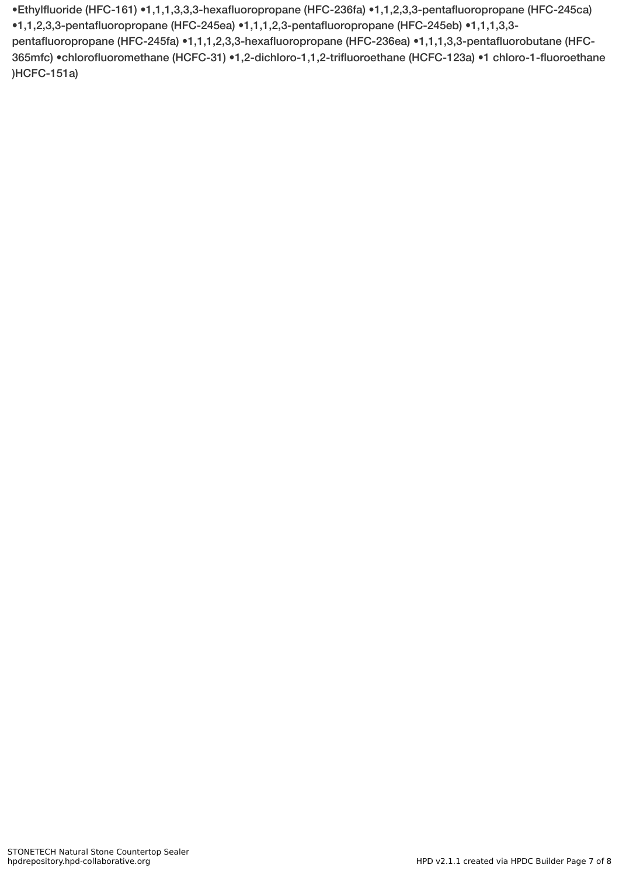•Ethylfluoride (HFC-161) •1,1,1,3,3,3-hexafluoropropane (HFC-236fa) •1,1,2,3,3-pentafluoropropane (HFC-245ca) •1,1,2,3,3-pentafluoropropane (HFC-245ea) •1,1,1,2,3-pentafluoropropane (HFC-245eb) •1,1,1,3,3 pentafluoropropane (HFC-245fa) •1,1,1,2,3,3-hexafluoropropane (HFC-236ea) •1,1,1,3,3-pentafluorobutane (HFC-365mfc) •chlorofluoromethane (HCFC-31) •1,2-dichloro-1,1,2-trifluoroethane (HCFC-123a) •1 chloro-1-fluoroethane )HCFC-151a)